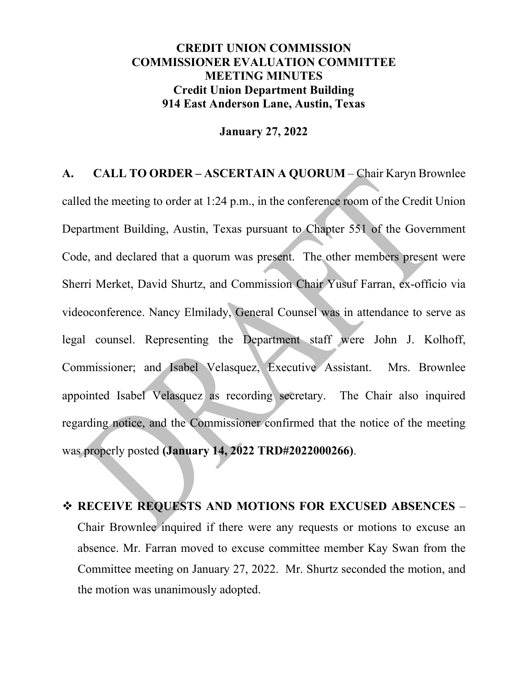## **CREDIT UNION COMMISSION COMMISSIONER EVALUATION COMMITTEE MEETING MINUTES Credit Union Department Building 914 East Anderson Lane, Austin, Texas**

## **January 27, 2022**

**A. CALL TO ORDER – ASCERTAIN A QUORUM** – Chair Karyn Brownlee called the meeting to order at 1:24 p.m., in the conference room of the Credit Union Department Building, Austin, Texas pursuant to Chapter 551 of the Government Code, and declared that a quorum was present. The other members present were Sherri Merket, David Shurtz, and Commission Chair Yusuf Farran, ex-officio via videoconference. Nancy Elmilady, General Counsel was in attendance to serve as legal counsel. Representing the Department staff were John J. Kolhoff, Commissioner; and Isabel Velasquez, Executive Assistant. Mrs. Brownlee appointed Isabel Velasquez as recording secretary. The Chair also inquired regarding notice, and the Commissioner confirmed that the notice of the meeting was properly posted **(January 14, 2022 TRD#2022000266)**.

 **RECEIVE REQUESTS AND MOTIONS FOR EXCUSED ABSENCES** – Chair Brownlee inquired if there were any requests or motions to excuse an absence. Mr. Farran moved to excuse committee member Kay Swan from the Committee meeting on January 27, 2022. Mr. Shurtz seconded the motion, and the motion was unanimously adopted.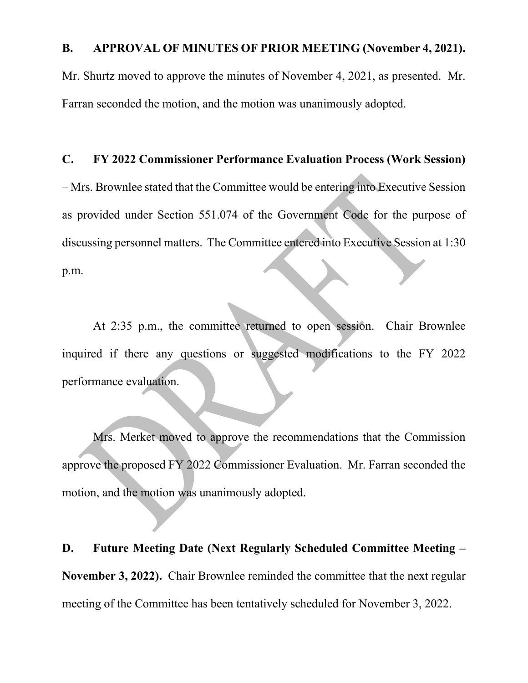## **B. APPROVAL OF MINUTES OF PRIOR MEETING (November 4, 2021).**

Mr. Shurtz moved to approve the minutes of November 4, 2021, as presented. Mr. Farran seconded the motion, and the motion was unanimously adopted.

## **C. FY 2022 Commissioner Performance Evaluation Process (Work Session)**

– Mrs. Brownlee stated that the Committee would be entering into Executive Session as provided under Section 551.074 of the Government Code for the purpose of discussing personnel matters. The Committee entered into Executive Session at 1:30 p.m.

At 2:35 p.m., the committee returned to open session. Chair Brownlee inquired if there any questions or suggested modifications to the FY 2022 performance evaluation.

Mrs. Merket moved to approve the recommendations that the Commission approve the proposed FY 2022 Commissioner Evaluation. Mr. Farran seconded the motion, and the motion was unanimously adopted.

**D. Future Meeting Date (Next Regularly Scheduled Committee Meeting – November 3, 2022).** Chair Brownlee reminded the committee that the next regular meeting of the Committee has been tentatively scheduled for November 3, 2022.